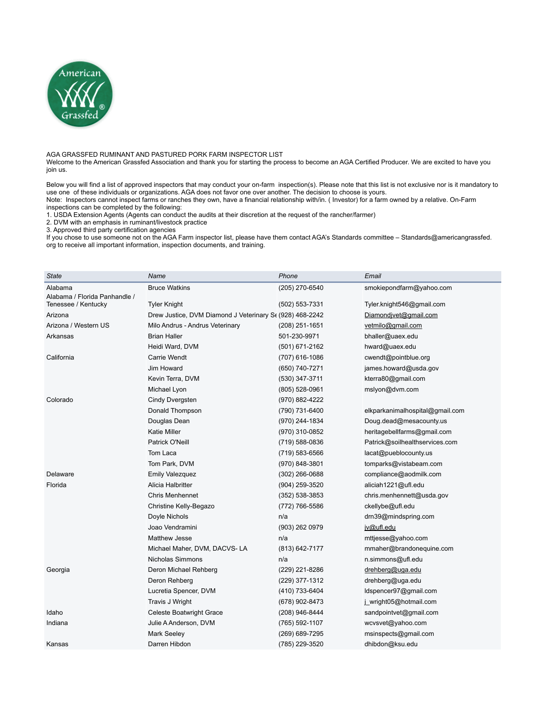

AGA GRASSFED RUMINANT AND PASTURED PORK FARM INSPECTOR LIST

Welcome to the American Grassfed Association and thank you for starting the process to become an AGA Certified Producer. We are excited to have you join us.

Below you will find a list of approved inspectors that may conduct your on-farm inspection(s). Please note that this list is not exclusive nor is it mandatory to use one of these individuals or organizations. AGA does not favor one over another. The decision to choose is yours. Note: Inspectors cannot inspect farms or ranches they own, have a financial relationship with/in. ( Investor) for a farm owned by a relative. On-Farm

inspections can be completed by the following:

1. USDA Extension Agents (Agents can conduct the audits at their discretion at the request of the rancher/farmer)

2. DVM with an emphasis in ruminant/livestock practice

3. Approved third party certification agencies

If you chose to use someone not on the AGA Farm inspector list, please have them contact AGA's Standards committee – Standards@americangrassfed. org to receive all important information, inspection documents, and training.

| <b>State</b>                  | Name                                                     | Phone            | Email                           |
|-------------------------------|----------------------------------------------------------|------------------|---------------------------------|
| Alabama                       | <b>Bruce Watkins</b>                                     | (205) 270-6540   | smokiepondfarm@yahoo.com        |
| Alabama / Florida Panhandle / |                                                          |                  |                                 |
| Tenessee / Kentucky           | <b>Tyler Knight</b>                                      | (502) 553-7331   | Tyler.knight546@gmail.com       |
| Arizona                       | Drew Justice, DVM Diamond J Veterinary Se (928) 468-2242 |                  | Diamondjvet@gmail.com           |
| Arizona / Western US          | Milo Andrus - Andrus Veterinary                          | (208) 251-1651   | vetmilo@gmail.com               |
| Arkansas                      | <b>Brian Haller</b>                                      | 501-230-9971     | bhaller@uaex.edu                |
|                               | Heidi Ward, DVM                                          | (501) 671-2162   | hward@uaex.edu                  |
| California                    | Carrie Wendt                                             | (707) 616-1086   | cwendt@pointblue.org            |
|                               | Jim Howard                                               | (650) 740-7271   | james.howard@usda.gov           |
|                               | Kevin Terra, DVM                                         | (530) 347-3711   | kterra80@gmail.com              |
|                               | Michael Lyon                                             | $(805)$ 528-0961 | mslyon@dvm.com                  |
| Colorado                      | Cindy Dvergsten                                          | (970) 882-4222   |                                 |
|                               | Donald Thompson                                          | (790) 731-6400   | elkparkanimalhospital@gmail.com |
|                               | Douglas Dean                                             | (970) 244-1834   | Doug.dead@mesacounty.us         |
|                               | <b>Katie Miller</b>                                      | (970) 310-0852   | heritagebellfarms@gmail.com     |
|                               | Patrick O'Neill                                          | (719) 588-0836   | Patrick@soilhealthservices.com  |
|                               | Tom Laca                                                 | (719) 583-6566   | lacat@pueblocounty.us           |
|                               | Tom Park, DVM                                            | (970) 848-3801   | tomparks@vistabeam.com          |
| Delaware                      | <b>Emily Valezquez</b>                                   | $(302)$ 266-0688 | compliance@aodmilk.com          |
| Florida                       | Alicia Halbritter                                        | (904) 259-3520   | aliciah1221@ufl.edu             |
|                               | <b>Chris Menhennet</b>                                   | (352) 538-3853   | chris.menhennett@usda.gov       |
|                               | Christine Kelly-Begazo                                   | (772) 766-5586   | ckellybe@ufl.edu                |
|                               | Doyle Nichols                                            | n/a              | drn39@mindspring.com            |
|                               | Joao Vendramini                                          | (903) 262 0979   | jv@ufl.edu                      |
|                               | Matthew Jesse                                            | n/a              | mttjesse@yahoo.com              |
|                               | Michael Maher, DVM, DACVS-LA                             | (813) 642-7177   | mmaher@brandonequine.com        |
|                               | Nicholas Simmons                                         | n/a              | n.simmons@ufl.edu               |
| Georgia                       | Deron Michael Rehberg                                    | (229) 221-8286   | drehberg@uga.edu                |
|                               | Deron Rehberg                                            | (229) 377-1312   | drehberg@uga.edu                |
|                               | Lucretia Spencer, DVM                                    | (410) 733-6404   | Idspencer97@gmail.com           |
|                               | Travis J Wright                                          | (678) 902-8473   | j wright05@hotmail.com          |
| Idaho                         | <b>Celeste Boatwright Grace</b>                          | (208) 946-8444   | sandpointvet@gmail.com          |
| Indiana                       | Julie A Anderson, DVM                                    | (765) 592-1107   | wcvsvet@yahoo.com               |
|                               | <b>Mark Seeley</b>                                       | (269) 689-7295   | msinspects@gmail.com            |
| Kansas                        | Darren Hibdon                                            | (785) 229-3520   | dhibdon@ksu.edu                 |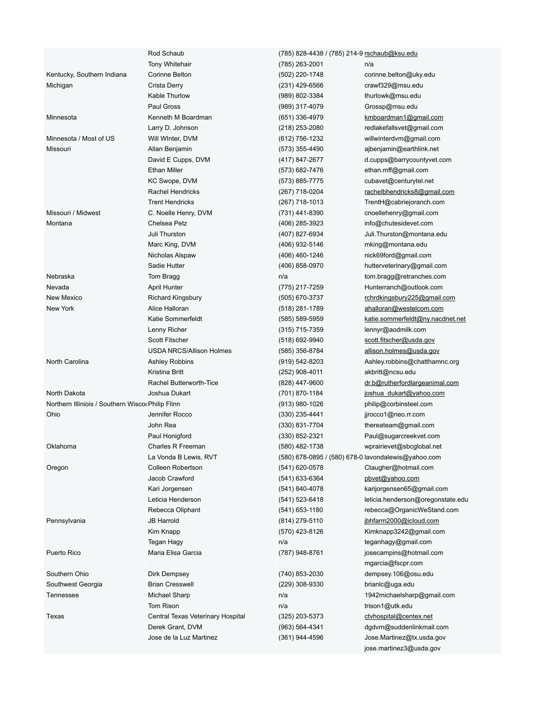|                                                   | Rod Schaub                        | (785) 828-4438 / (785) 214-9 rschaub@ksu.edu        |                                   |  |
|---------------------------------------------------|-----------------------------------|-----------------------------------------------------|-----------------------------------|--|
|                                                   | <b>Tony Whitehair</b>             | (785) 263-2001                                      | n/a                               |  |
| Kentucky, Southern Indiana                        | Corinne Belton                    | (502) 220-1748                                      | corinne.belton@uky.edu            |  |
| Michigan                                          | Crista Derry                      | (231) 429-6566                                      | crawf329@msu.edu                  |  |
|                                                   | Kable Thurlow                     | (989) 802-3384                                      | thurlowk@msu.edu                  |  |
|                                                   | Paul Gross                        | (989) 317-4079                                      | Grossp@msu.edu                    |  |
| Minnesota                                         | Kenneth M Boardman                | (651) 336-4979                                      | kmboardman1@gmail.com             |  |
|                                                   | Larry D. Johnson                  | (218) 253-2080                                      | redlakefallsvet@gmail.com         |  |
| Minnesota / Most of US                            | Will WInter, DVM                  | (612) 756-1232                                      | willwinterdvm@gmail.com           |  |
| Missouri                                          | Allan Benjamin                    | (573) 355-4490                                      | ajbenjamin@earthlink.net          |  |
|                                                   | David E Cupps, DVM                | (417) 847-2677                                      | d.cupps@barrycountyvet.com        |  |
|                                                   | <b>Ethan Miller</b>               | (573) 682-7476                                      | ethan.mff@gmail.com               |  |
|                                                   | KC Swope, DVM                     | (573) 885-7775                                      | cubavet@centurytel.net            |  |
|                                                   | Rachel Hendricks                  | (267) 718-0204                                      | rachelbhendricks8@gmail.com       |  |
|                                                   | <b>Trent Hendricks</b>            | $(267)$ 718-1013                                    | TrentH@cabriejoranch.com          |  |
| Missouri / Midwest                                | C. Noelle Henry, DVM              | (731) 441-8390                                      | cnoellehenry@gmail.com            |  |
| Montana                                           | Chelsea Petz                      | (406) 285-3923                                      | info@chutesidevet.com             |  |
|                                                   | Juli Thurston                     | (407) 827-6934                                      | Juli.Thurston@montana.edu         |  |
|                                                   | Marc King, DVM                    | (406) 932-5146                                      | mking@montana.edu                 |  |
|                                                   | Nicholas Alspaw                   | (406) 460-1246                                      | nick69ford@gmail.com              |  |
|                                                   | Sadie Hutter                      | (406) 858-0970                                      | hutterveterinary@gmail.com        |  |
| Nebraska                                          | Tom Bragg                         | n/a                                                 | tom.bragg@retranches.com          |  |
| Nevada                                            | <b>April Hunter</b>               | (775) 217-7259                                      | Hunterranch@outlook.com           |  |
| New Mexico                                        | <b>Richard Kingsbury</b>          | (505) 670-3737                                      | rchrdkingsbury225@gmail.com       |  |
| New York                                          | Alice Halloran                    | (518) 281-1789                                      | ahalloran@westelcom.com           |  |
|                                                   | Katie Sommerfeldt                 | (585) 589-5959                                      | katie.sommerfeldt@ny.nacdnet.net  |  |
|                                                   | Lenny Richer                      | (315) 715-7359                                      | lennyr@aodmilk.com                |  |
|                                                   | <b>Scott Fitscher</b>             | (518) 692-9940                                      | scott.fitscher@usda.gov           |  |
|                                                   | <b>USDA NRCS/Allison Holmes</b>   | (585) 356-8784                                      | allison.holmes@usda.gov           |  |
| North Carolina                                    | Ashley Robbins                    | (919) 542-8203                                      | Ashley.robbins@chatthamnc.org     |  |
|                                                   | Kristina Britt                    | (252) 908-4011                                      | akbritt@ncsu.edu                  |  |
|                                                   | Rachel Butterworth-Tice           | (828) 447-9600                                      | dr.b@rutherfordlargeanimal.com    |  |
| North Dakota                                      | Joshua Dukart                     | (701) 870-1184                                      | joshua dukart@yahoo.com           |  |
| Northern Illiniois / Southern Wiscol Philip Flinn |                                   | (913) 980-1026                                      | philip@corbinsteel.com            |  |
| Ohio                                              | Jennifer Rocco                    | $(330)$ 235-4441                                    | jjrocco1@neo.rr.com               |  |
|                                                   | John Rea                          | (330) 831-7704                                      | thereateam@gmail.com              |  |
|                                                   | Paul Honigford                    | $(330)$ 852-2321                                    | Paul@sugarcreekvet.com            |  |
| Oklahoma                                          | Charles R Freeman                 | (580) 482-1738                                      | wprairievet@sbcglobal.net         |  |
|                                                   | La Vonda B Lewis, RVT             | (580) 678-0895 / (580) 678-0 lavondalewis@yahoo.com |                                   |  |
| Oregon                                            | Colleen Robertson                 | (541) 620-0578                                      | Ctaugher@hotmail.com              |  |
|                                                   | Jacob Crawford                    | (541) 633-6364                                      | pbvet@yahoo.com                   |  |
|                                                   | Kari Jorgensen                    | (541) 840-4078                                      | karijorgensen65@gmail.com         |  |
|                                                   | Leticia Henderson                 | (541) 523-6418                                      | leticia.henderson@oregonstate.edu |  |
|                                                   | Rebecca Oliphant                  | (541) 653-1180                                      | rebecca@OrganicWeStand.com        |  |
| Pennsylvania                                      | JB Harrold                        | (814) 279-5110                                      | jbhfarm2000@icloud.com            |  |
|                                                   | Kim Knapp                         | (570) 423-8126                                      | Kimknapp3242@gmail.com            |  |
|                                                   | Tegan Hagy                        | n/a                                                 | teganhagy@gmail.com               |  |
| Puerto Rico                                       | Maria Elisa Garcia                | (787) 948-8761                                      | josecampins@hotmail.com           |  |
|                                                   |                                   |                                                     | mgarcia@fscpr.com                 |  |
| Southern Ohio                                     | Dirk Dempsey                      | (740) 853-2030                                      | dempsey.106@osu.edu               |  |
| Southwest Georgia                                 | <b>Brian Cresswell</b>            | (229) 308-9330                                      | brianic@uga.edu                   |  |
| Tennessee                                         | Michael Sharp                     | n/a                                                 | 1942 michaels harp@gmail.com      |  |
|                                                   | Tom Rison                         | n/a                                                 | trison1@utk.edu                   |  |
| Texas                                             | Central Texas Veterinary Hospital | (325) 203-5373                                      | ctyhospital@centex.net            |  |
|                                                   | Derek Grant, DVM                  | (963) 564-4341                                      | dgdvm@suddenlinkmail.com          |  |
|                                                   | Jose de la Luz Martinez           | (361) 944-4596                                      | Jose.Martinez@tx.usda.gov         |  |
|                                                   |                                   |                                                     | jose.martinez3@usda.gov           |  |